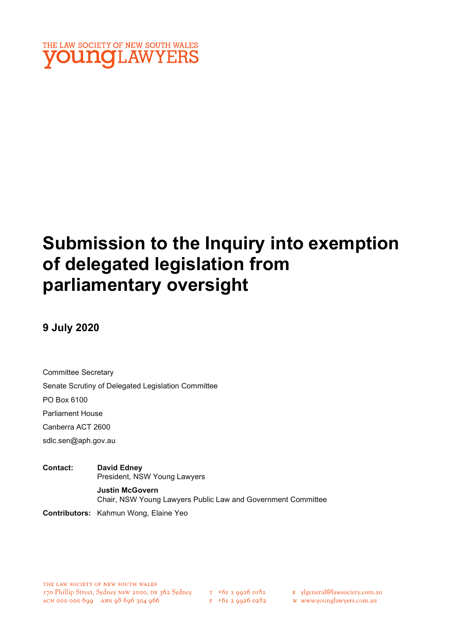

# Submission to the Inquiry into exemption of delegated legislation from parliamentary oversight

## 9 July 2020

Committee Secretary Senate Scrutiny of Delegated Legislation Committee PO Box 6100 Parliament House

Canberra ACT 2600

sdlc.sen@aph.gov.au

Contact: David Edney President, NSW Young Lawyers Justin McGovern Chair, NSW Young Lawyers Public Law and Government Committee Contributors: Kahmun Wong, Elaine Yeo

 $T_{+6}$  + 61 2 9926 0182  $F + 6I$  2 9926 0282 E ylgeneral@lawsociety.com.au

w www.younglawyers.com.au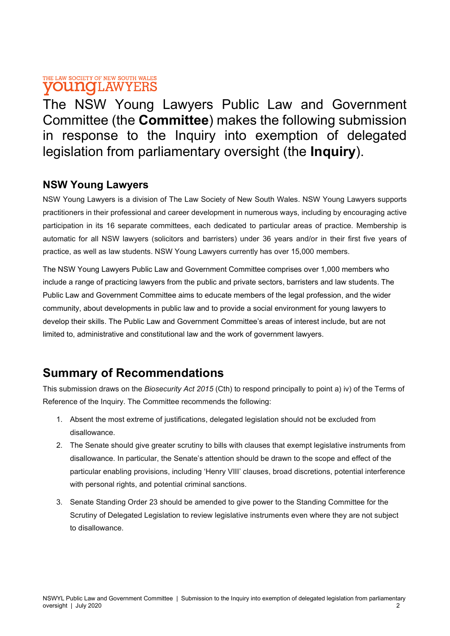### THE LAW SOCIETY OF NEW SOUTH WALES **YOUNGLAWYERS**

The NSW Young Lawyers Public Law and Government Committee (the Committee) makes the following submission in response to the Inquiry into exemption of delegated legislation from parliamentary oversight (the Inquiry).

### NSW Young Lawyers

NSW Young Lawyers is a division of The Law Society of New South Wales. NSW Young Lawyers supports practitioners in their professional and career development in numerous ways, including by encouraging active participation in its 16 separate committees, each dedicated to particular areas of practice. Membership is automatic for all NSW lawyers (solicitors and barristers) under 36 years and/or in their first five years of practice, as well as law students. NSW Young Lawyers currently has over 15,000 members.

The NSW Young Lawyers Public Law and Government Committee comprises over 1,000 members who include a range of practicing lawyers from the public and private sectors, barristers and law students. The Public Law and Government Committee aims to educate members of the legal profession, and the wider community, about developments in public law and to provide a social environment for young lawyers to develop their skills. The Public Law and Government Committee's areas of interest include, but are not limited to, administrative and constitutional law and the work of government lawyers.

# Summary of Recommendations

This submission draws on the Biosecurity Act 2015 (Cth) to respond principally to point a) iv) of the Terms of Reference of the Inquiry. The Committee recommends the following:

- 1. Absent the most extreme of justifications, delegated legislation should not be excluded from disallowance.
- 2. The Senate should give greater scrutiny to bills with clauses that exempt legislative instruments from disallowance. In particular, the Senate's attention should be drawn to the scope and effect of the particular enabling provisions, including 'Henry VIII' clauses, broad discretions, potential interference with personal rights, and potential criminal sanctions.
- 3. Senate Standing Order 23 should be amended to give power to the Standing Committee for the Scrutiny of Delegated Legislation to review legislative instruments even where they are not subject to disallowance.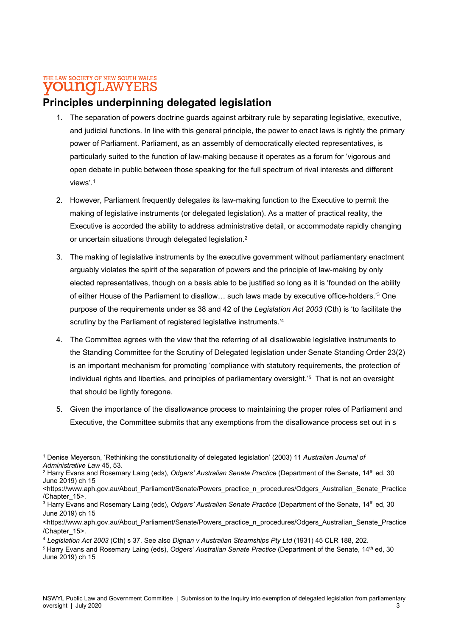### THE LAW SOCIETY OF NEW SOUTH WALES **OUNCLAWYERS**

### Principles underpinning delegated legislation

- 1. The separation of powers doctrine guards against arbitrary rule by separating legislative, executive, and judicial functions. In line with this general principle, the power to enact laws is rightly the primary power of Parliament. Parliament, as an assembly of democratically elected representatives, is particularly suited to the function of law-making because it operates as a forum for 'vigorous and open debate in public between those speaking for the full spectrum of rival interests and different views'.<sup>1</sup>
- 2. However, Parliament frequently delegates its law-making function to the Executive to permit the making of legislative instruments (or delegated legislation). As a matter of practical reality, the Executive is accorded the ability to address administrative detail, or accommodate rapidly changing or uncertain situations through delegated legislation.<sup>2</sup>
- 3. The making of legislative instruments by the executive government without parliamentary enactment arguably violates the spirit of the separation of powers and the principle of law-making by only elected representatives, though on a basis able to be justified so long as it is 'founded on the ability of either House of the Parliament to disallow… such laws made by executive office-holders.'<sup>3</sup> One purpose of the requirements under ss 38 and 42 of the Legislation Act 2003 (Cth) is 'to facilitate the scrutiny by the Parliament of registered legislative instruments.<sup>14</sup>
- 4. The Committee agrees with the view that the referring of all disallowable legislative instruments to the Standing Committee for the Scrutiny of Delegated legislation under Senate Standing Order 23(2) is an important mechanism for promoting 'compliance with statutory requirements, the protection of individual rights and liberties, and principles of parliamentary oversight.'<sup>5</sup> That is not an oversight that should be lightly foregone.
- 5. Given the importance of the disallowance process to maintaining the proper roles of Parliament and Executive, the Committee submits that any exemptions from the disallowance process set out in s

<sup>&</sup>lt;sup>1</sup> Denise Meyerson, 'Rethinking the constitutionality of delegated legislation' (2003) 11 Australian Journal of Administrative Law 45, 53.

 $^2$  Harry Evans and Rosemary Laing (eds), *Odgers' Australian Senate Practice* (Department of the Senate, 14<sup>th</sup> ed, 30 June 2019) ch 15

<sup>&</sup>lt;https://www.aph.gov.au/About\_Parliament/Senate/Powers\_practice\_n\_procedures/Odgers\_Australian\_Senate\_Practice /Chapter\_15>.

 $3$  Harry Evans and Rosemary Laing (eds), *Odgers' Australian Senate Practice* (Department of the Senate, 14<sup>th</sup> ed, 30 June 2019) ch 15

<sup>&</sup>lt;https://www.aph.gov.au/About\_Parliament/Senate/Powers\_practice\_n\_procedures/Odgers\_Australian\_Senate\_Practice /Chapter\_15>.

<sup>4</sup> Legislation Act 2003 (Cth) s 37. See also Dignan v Australian Steamships Pty Ltd (1931) 45 CLR 188, 202.

<sup>&</sup>lt;sup>5</sup> Harry Evans and Rosemary Laing (eds), Odgers' Australian Senate Practice (Department of the Senate, 14<sup>th</sup> ed, 30 June 2019) ch 15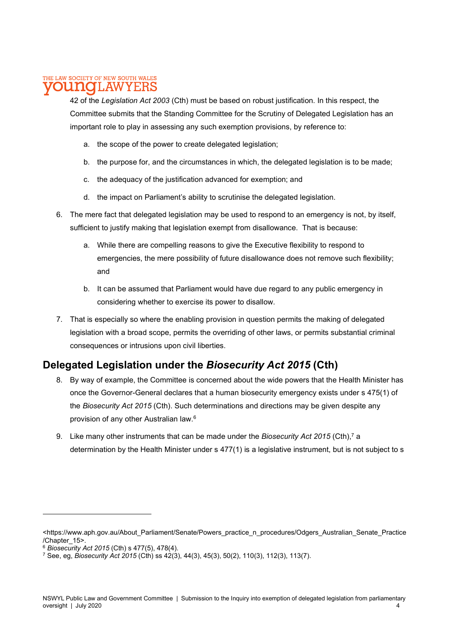#### THE LAW SOCIETY OF NEW SOUTH WALES LAW Y E:F

42 of the Legislation Act 2003 (Cth) must be based on robust justification. In this respect, the Committee submits that the Standing Committee for the Scrutiny of Delegated Legislation has an important role to play in assessing any such exemption provisions, by reference to:

- a. the scope of the power to create delegated legislation;
- b. the purpose for, and the circumstances in which, the delegated legislation is to be made;
- c. the adequacy of the justification advanced for exemption; and
- d. the impact on Parliament's ability to scrutinise the delegated legislation.
- 6. The mere fact that delegated legislation may be used to respond to an emergency is not, by itself, sufficient to justify making that legislation exempt from disallowance. That is because:
	- a. While there are compelling reasons to give the Executive flexibility to respond to emergencies, the mere possibility of future disallowance does not remove such flexibility; and
	- b. It can be assumed that Parliament would have due regard to any public emergency in considering whether to exercise its power to disallow.
- 7. That is especially so where the enabling provision in question permits the making of delegated legislation with a broad scope, permits the overriding of other laws, or permits substantial criminal consequences or intrusions upon civil liberties.

## Delegated Legislation under the Biosecurity Act 2015 (Cth)

- 8. By way of example, the Committee is concerned about the wide powers that the Health Minister has once the Governor-General declares that a human biosecurity emergency exists under s 475(1) of the Biosecurity Act 2015 (Cth). Such determinations and directions may be given despite any provision of any other Australian law.<sup>6</sup>
- 9. Like many other instruments that can be made under the *Biosecurity Act 2015* (Cth),<sup>7</sup> a determination by the Health Minister under s 477(1) is a legislative instrument, but is not subject to s

<sup>&</sup>lt;https://www.aph.gov.au/About\_Parliament/Senate/Powers\_practice\_n\_procedures/Odgers\_Australian\_Senate\_Practice /Chapter\_15>.

 $6$  Biosecurity Act 2015 (Cth) s 477(5), 478(4).

<sup>&</sup>lt;sup>7</sup> See, eg, *Biosecurity Act 2015* (Cth) ss 42(3), 44(3), 45(3), 50(2), 110(3), 112(3), 113(7).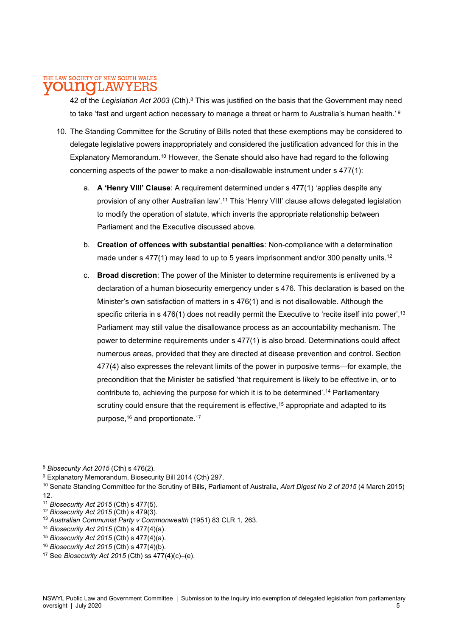#### THE LAW SOCIETY OF NEW SOUTH WALES LAW Y F.F

42 of the Legislation Act 2003 (Cth).<sup>8</sup> This was justified on the basis that the Government may need to take 'fast and urgent action necessary to manage a threat or harm to Australia's human health.'  $^9$ 

- 10. The Standing Committee for the Scrutiny of Bills noted that these exemptions may be considered to delegate legislative powers inappropriately and considered the justification advanced for this in the Explanatory Memorandum.<sup>10</sup> However, the Senate should also have had regard to the following concerning aspects of the power to make a non-disallowable instrument under s 477(1):
	- a. A 'Henry VIII' Clause: A requirement determined under s 477(1) 'applies despite any provision of any other Australian law'.<sup>11</sup> This 'Henry VIII' clause allows delegated legislation to modify the operation of statute, which inverts the appropriate relationship between Parliament and the Executive discussed above.
	- b. Creation of offences with substantial penalties: Non-compliance with a determination made under s 477(1) may lead to up to 5 years imprisonment and/or 300 penalty units.<sup>12</sup>
	- c. Broad discretion: The power of the Minister to determine requirements is enlivened by a declaration of a human biosecurity emergency under s 476. This declaration is based on the Minister's own satisfaction of matters in s 476(1) and is not disallowable. Although the specific criteria in  $s$  476(1) does not readily permit the Executive to 'recite itself into power',<sup>13</sup> Parliament may still value the disallowance process as an accountability mechanism. The power to determine requirements under s 477(1) is also broad. Determinations could affect numerous areas, provided that they are directed at disease prevention and control. Section 477(4) also expresses the relevant limits of the power in purposive terms—for example, the precondition that the Minister be satisfied 'that requirement is likely to be effective in, or to contribute to, achieving the purpose for which it is to be determined'.<sup>14</sup> Parliamentary scrutiny could ensure that the requirement is effective,<sup>15</sup> appropriate and adapted to its purpose,<sup>16</sup> and proportionate.<sup>17</sup>

- <sup>14</sup> Biosecurity Act 2015 (Cth) s 477(4)(a).
- <sup>15</sup> Biosecurity Act 2015 (Cth) s 477(4)(a).
- <sup>16</sup> Biosecurity Act 2015 (Cth) s 477(4)(b).

<sup>8</sup> Biosecurity Act 2015 (Cth) s 476(2).

<sup>&</sup>lt;sup>9</sup> Explanatory Memorandum, Biosecurity Bill 2014 (Cth) 297.

<sup>&</sup>lt;sup>10</sup> Senate Standing Committee for the Scrutiny of Bills, Parliament of Australia, Alert Digest No 2 of 2015 (4 March 2015) 12.

<sup>11</sup> Biosecurity Act 2015 (Cth) s 477(5).

<sup>&</sup>lt;sup>12</sup> Biosecurity Act 2015 (Cth) s 479(3).

<sup>13</sup> Australian Communist Party v Commonwealth (1951) 83 CLR 1, 263.

<sup>&</sup>lt;sup>17</sup> See Biosecurity Act 2015 (Cth) ss  $477(4)(c)$ –(e).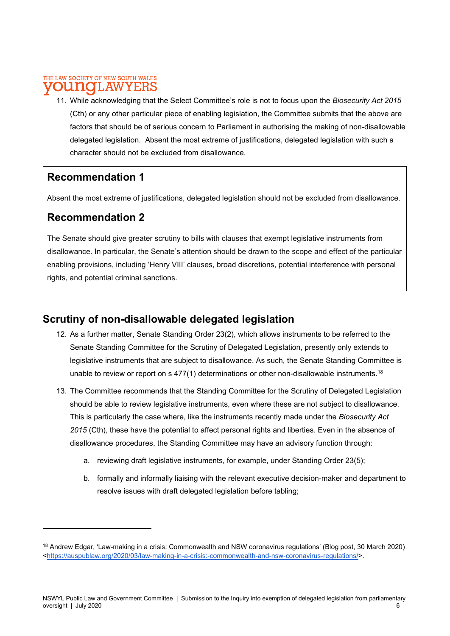#### THE LAW SOCIETY OF NEW SOUTH WALES 1110 1.AW

11. While acknowledging that the Select Committee's role is not to focus upon the Biosecurity Act 2015 (Cth) or any other particular piece of enabling legislation, the Committee submits that the above are factors that should be of serious concern to Parliament in authorising the making of non-disallowable delegated legislation. Absent the most extreme of justifications, delegated legislation with such a character should not be excluded from disallowance.

### Recommendation 1

Absent the most extreme of justifications, delegated legislation should not be excluded from disallowance.

### Recommendation 2

The Senate should give greater scrutiny to bills with clauses that exempt legislative instruments from disallowance. In particular, the Senate's attention should be drawn to the scope and effect of the particular enabling provisions, including 'Henry VIII' clauses, broad discretions, potential interference with personal rights, and potential criminal sanctions.

## Scrutiny of non-disallowable delegated legislation

- 12. As a further matter, Senate Standing Order 23(2), which allows instruments to be referred to the Senate Standing Committee for the Scrutiny of Delegated Legislation, presently only extends to legislative instruments that are subject to disallowance. As such, the Senate Standing Committee is unable to review or report on  $s$  477(1) determinations or other non-disallowable instruments.<sup>18</sup>
- 13. The Committee recommends that the Standing Committee for the Scrutiny of Delegated Legislation should be able to review legislative instruments, even where these are not subject to disallowance. This is particularly the case where, like the instruments recently made under the Biosecurity Act 2015 (Cth), these have the potential to affect personal rights and liberties. Even in the absence of disallowance procedures, the Standing Committee may have an advisory function through:
	- a. reviewing draft legislative instruments, for example, under Standing Order 23(5);
	- b. formally and informally liaising with the relevant executive decision-maker and department to resolve issues with draft delegated legislation before tabling;

<sup>18</sup> Andrew Edgar, 'Law-making in a crisis: Commonwealth and NSW coronavirus regulations' (Blog post, 30 March 2020) <https://auspublaw.org/2020/03/law-making-in-a-crisis:-commonwealth-and-nsw-coronavirus-regulations/>.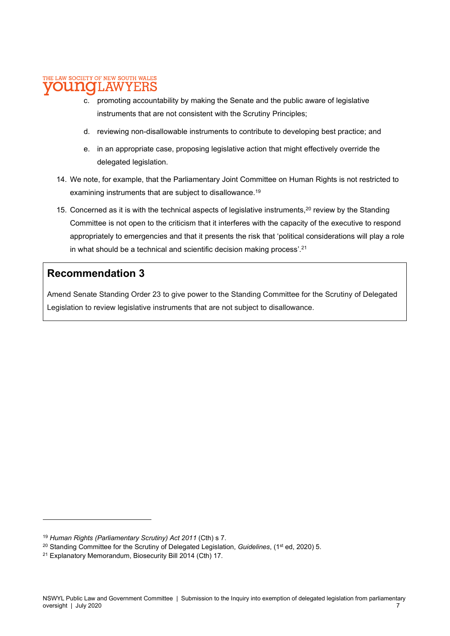#### THE LAW SOCIETY OF NEW SOUTH WALES DITTIO **AW** Y E:F

- c. promoting accountability by making the Senate and the public aware of legislative instruments that are not consistent with the Scrutiny Principles;
- d. reviewing non-disallowable instruments to contribute to developing best practice; and
- e. in an appropriate case, proposing legislative action that might effectively override the delegated legislation.
- 14. We note, for example, that the Parliamentary Joint Committee on Human Rights is not restricted to examining instruments that are subject to disallowance.<sup>19</sup>
- 15. Concerned as it is with the technical aspects of legislative instruments,<sup>20</sup> review by the Standing Committee is not open to the criticism that it interferes with the capacity of the executive to respond appropriately to emergencies and that it presents the risk that 'political considerations will play a role in what should be a technical and scientific decision making process'.<sup>21</sup>

### Recommendation 3

Amend Senate Standing Order 23 to give power to the Standing Committee for the Scrutiny of Delegated Legislation to review legislative instruments that are not subject to disallowance.

<sup>&</sup>lt;sup>19</sup> Human Rights (Parliamentary Scrutiny) Act 2011 (Cth) s 7.

<sup>&</sup>lt;sup>20</sup> Standing Committee for the Scrutiny of Delegated Legislation, *Guidelines*, (1<sup>st</sup> ed, 2020) 5.

<sup>21</sup> Explanatory Memorandum, Biosecurity Bill 2014 (Cth) 17.